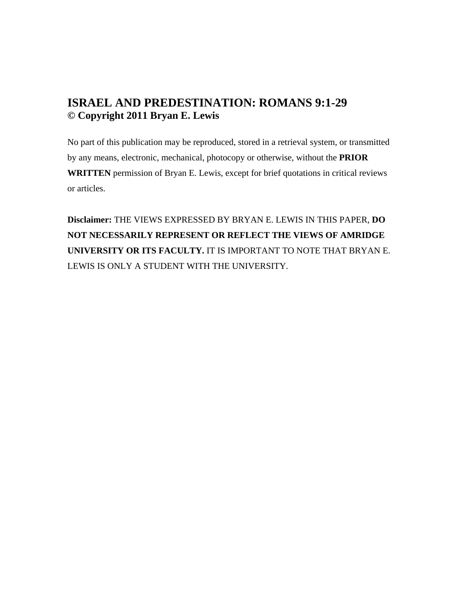# **ISRAEL AND PREDESTINATION: ROMANS 9:1-29 © Copyright 2011 Bryan E. Lewis**

No part of this publication may be reproduced, stored in a retrieval system, or transmitted by any means, electronic, mechanical, photocopy or otherwise, without the **PRIOR WRITTEN** permission of Bryan E. Lewis, except for brief quotations in critical reviews or articles.

**Disclaimer:** THE VIEWS EXPRESSED BY BRYAN E. LEWIS IN THIS PAPER, **DO NOT NECESSARILY REPRESENT OR REFLECT THE VIEWS OF AMRIDGE UNIVERSITY OR ITS FACULTY.** IT IS IMPORTANT TO NOTE THAT BRYAN E. LEWIS IS ONLY A STUDENT WITH THE UNIVERSITY.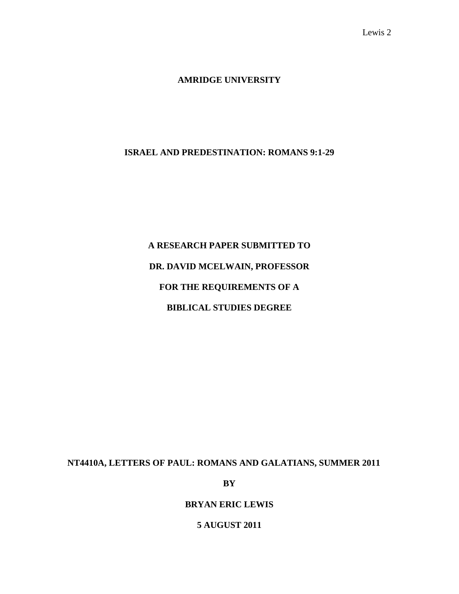### **AMRIDGE UNIVERSITY**

### **ISRAEL AND PREDESTINATION: ROMANS 9:1-29**

# **A RESEARCH PAPER SUBMITTED TO DR. DAVID MCELWAIN, PROFESSOR FOR THE REQUIREMENTS OF A BIBLICAL STUDIES DEGREE**

### **NT4410A, LETTERS OF PAUL: ROMANS AND GALATIANS, SUMMER 2011**

**BY** 

### **BRYAN ERIC LEWIS**

### **5 AUGUST 2011**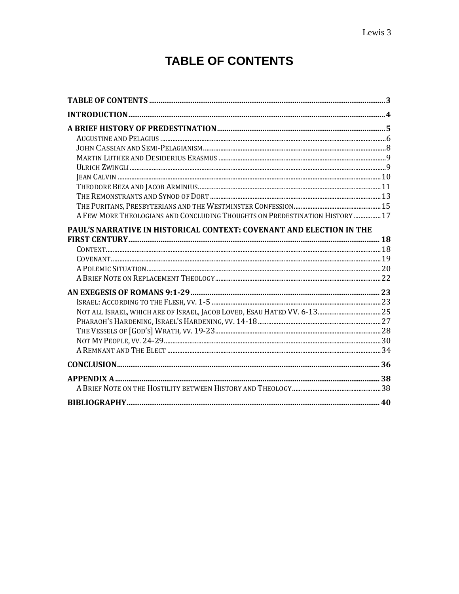# **TABLE OF CONTENTS**

| A FEW MORE THEOLOGIANS AND CONCLUDING THOUGHTS ON PREDESTINATION HISTORY  17 |  |
|------------------------------------------------------------------------------|--|
| PAUL'S NARRATIVE IN HISTORICAL CONTEXT: COVENANT AND ELECTION IN THE         |  |
|                                                                              |  |
|                                                                              |  |
|                                                                              |  |
|                                                                              |  |
|                                                                              |  |
|                                                                              |  |
|                                                                              |  |
|                                                                              |  |
|                                                                              |  |
|                                                                              |  |
|                                                                              |  |
|                                                                              |  |
|                                                                              |  |
|                                                                              |  |
|                                                                              |  |
|                                                                              |  |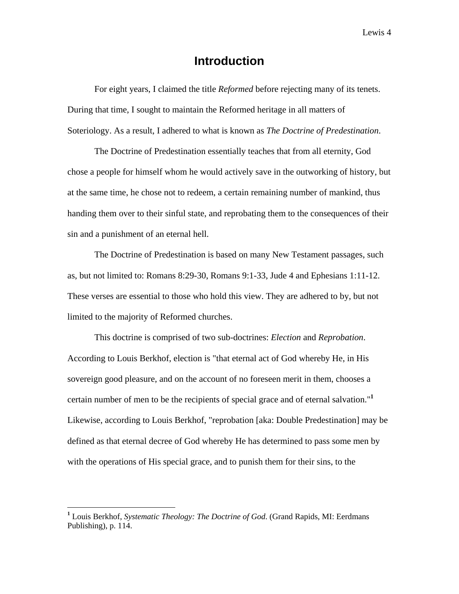## **Introduction**

For eight years, I claimed the title *Reformed* before rejecting many of its tenets. During that time, I sought to maintain the Reformed heritage in all matters of Soteriology. As a result, I adhered to what is known as *The Doctrine of Predestination*.

The Doctrine of Predestination essentially teaches that from all eternity, God chose a people for himself whom he would actively save in the outworking of history, but at the same time, he chose not to redeem, a certain remaining number of mankind, thus handing them over to their sinful state, and reprobating them to the consequences of their sin and a punishment of an eternal hell.

The Doctrine of Predestination is based on many New Testament passages, such as, but not limited to: Romans 8:29-30, Romans 9:1-33, Jude 4 and Ephesians 1:11-12. These verses are essential to those who hold this view. They are adhered to by, but not limited to the majority of Reformed churches.

This doctrine is comprised of two sub-doctrines: *Election* and *Reprobation*. According to Louis Berkhof, election is "that eternal act of God whereby He, in His sovereign good pleasure, and on the account of no foreseen merit in them, chooses a certain number of men to be the recipients of special grace and of eternal salvation."**<sup>1</sup>** Likewise, according to Louis Berkhof, "reprobation [aka: Double Predestination] may be defined as that eternal decree of God whereby He has determined to pass some men by with the operations of His special grace, and to punish them for their sins, to the

1

**<sup>1</sup>** Louis Berkhof, *Systematic Theology: The Doctrine of God*. (Grand Rapids, MI: Eerdmans Publishing), p. 114.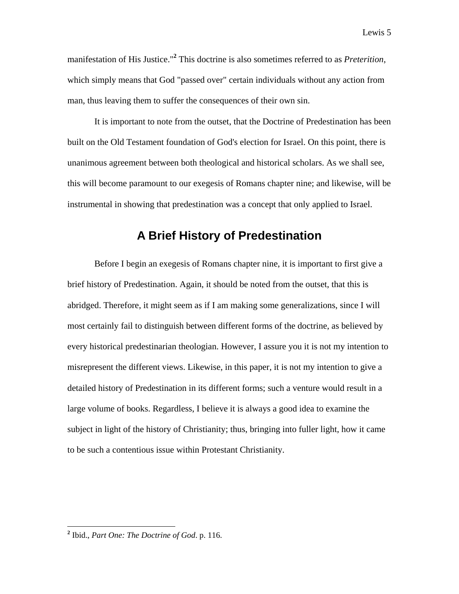manifestation of His Justice."**<sup>2</sup>** This doctrine is also sometimes referred to as *Preterition*, which simply means that God "passed over" certain individuals without any action from man, thus leaving them to suffer the consequences of their own sin.

It is important to note from the outset, that the Doctrine of Predestination has been built on the Old Testament foundation of God's election for Israel. On this point, there is unanimous agreement between both theological and historical scholars. As we shall see, this will become paramount to our exegesis of Romans chapter nine; and likewise, will be instrumental in showing that predestination was a concept that only applied to Israel.

### **A Brief History of Predestination**

Before I begin an exegesis of Romans chapter nine, it is important to first give a brief history of Predestination. Again, it should be noted from the outset, that this is abridged. Therefore, it might seem as if I am making some generalizations, since I will most certainly fail to distinguish between different forms of the doctrine, as believed by every historical predestinarian theologian. However, I assure you it is not my intention to misrepresent the different views. Likewise, in this paper, it is not my intention to give a detailed history of Predestination in its different forms; such a venture would result in a large volume of books. Regardless, I believe it is always a good idea to examine the subject in light of the history of Christianity; thus, bringing into fuller light, how it came to be such a contentious issue within Protestant Christianity.

**<sup>2</sup>** Ibid., *Part One: The Doctrine of God*. p. 116.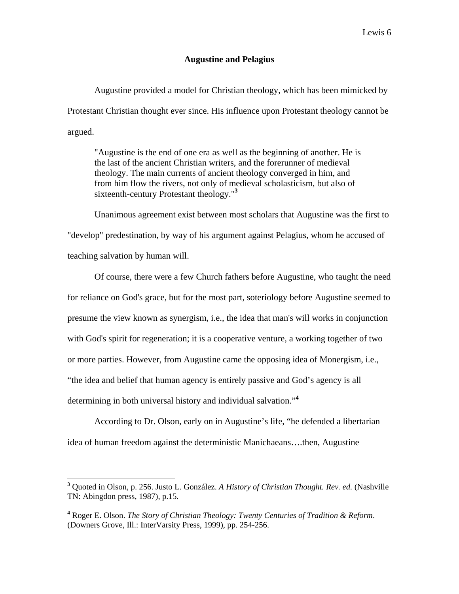### **Augustine and Pelagius**

Augustine provided a model for Christian theology, which has been mimicked by Protestant Christian thought ever since. His influence upon Protestant theology cannot be argued.

"Augustine is the end of one era as well as the beginning of another. He is the last of the ancient Christian writers, and the forerunner of medieval theology. The main currents of ancient theology converged in him, and from him flow the rivers, not only of medieval scholasticism, but also of sixteenth-century Protestant theology."**<sup>3</sup>**

Unanimous agreement exist between most scholars that Augustine was the first to "develop" predestination, by way of his argument against Pelagius, whom he accused of teaching salvation by human will.

Of course, there were a few Church fathers before Augustine, who taught the need for reliance on God's grace, but for the most part, soteriology before Augustine seemed to presume the view known as synergism, i.e., the idea that man's will works in conjunction with God's spirit for regeneration; it is a cooperative venture, a working together of two or more parties. However, from Augustine came the opposing idea of Monergism, i.e., "the idea and belief that human agency is entirely passive and God's agency is all determining in both universal history and individual salvation."**<sup>4</sup>**

According to Dr. Olson, early on in Augustine's life, "he defended a libertarian idea of human freedom against the deterministic Manichaeans….then, Augustine

1

**<sup>3</sup>** Quoted in Olson, p. 256. Justo L. González. *A History of Christian Thought. Rev. ed.* (Nashville TN: Abingdon press, 1987), p.15.

**<sup>4</sup>** Roger E. Olson. *The Story of Christian Theology: Twenty Centuries of Tradition & Reform*. (Downers Grove, Ill.: InterVarsity Press, 1999), pp. 254-256.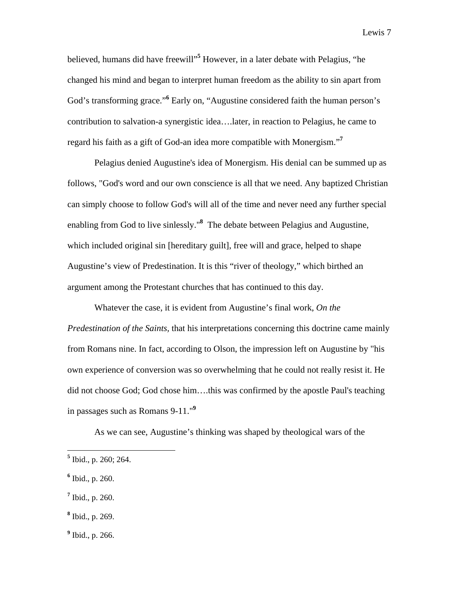believed, humans did have freewill"**<sup>5</sup>** However, in a later debate with Pelagius, "he changed his mind and began to interpret human freedom as the ability to sin apart from God's transforming grace."<sup>6</sup> Early on, "Augustine considered faith the human person's contribution to salvation-a synergistic idea….later, in reaction to Pelagius, he came to

regard his faith as a gift of God-an idea more compatible with Monergism."**<sup>7</sup>**

Pelagius denied Augustine's idea of Monergism. His denial can be summed up as follows, "God's word and our own conscience is all that we need. Any baptized Christian can simply choose to follow God's will all of the time and never need any further special enabling from God to live sinlessly."**<sup>8</sup>** The debate between Pelagius and Augustine, which included original sin [hereditary guilt], free will and grace, helped to shape Augustine's view of Predestination. It is this "river of theology," which birthed an argument among the Protestant churches that has continued to this day.

Whatever the case, it is evident from Augustine's final work, *On the Predestination of the Saints,* that his interpretations concerning this doctrine came mainly from Romans nine. In fact, according to Olson, the impression left on Augustine by "his own experience of conversion was so overwhelming that he could not really resist it. He did not choose God; God chose him….this was confirmed by the apostle Paul's teaching in passages such as Romans 9-11."**<sup>9</sup>**

As we can see, Augustine's thinking was shaped by theological wars of the

- **7** Ibid., p. 260.
- **8** Ibid., p. 269.

 **5** Ibid., p. 260; 264.

**<sup>6</sup>** Ibid., p. 260.

**<sup>9</sup>** Ibid., p. 266.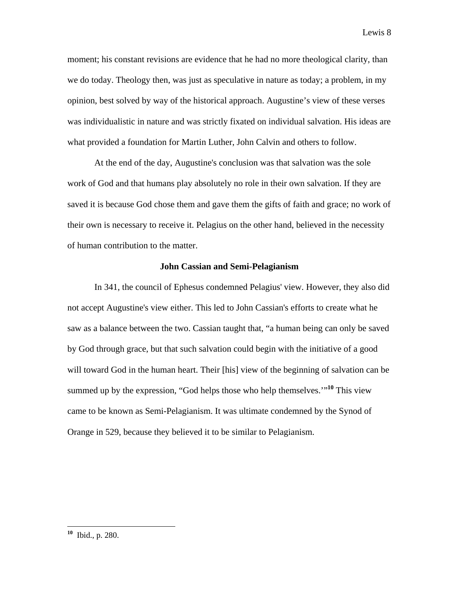moment; his constant revisions are evidence that he had no more theological clarity, than we do today. Theology then, was just as speculative in nature as today; a problem, in my opinion, best solved by way of the historical approach. Augustine's view of these verses was individualistic in nature and was strictly fixated on individual salvation. His ideas are what provided a foundation for Martin Luther, John Calvin and others to follow.

At the end of the day, Augustine's conclusion was that salvation was the sole work of God and that humans play absolutely no role in their own salvation. If they are saved it is because God chose them and gave them the gifts of faith and grace; no work of their own is necessary to receive it. Pelagius on the other hand, believed in the necessity of human contribution to the matter.

### **John Cassian and Semi-Pelagianism**

In 341, the council of Ephesus condemned Pelagius' view. However, they also did not accept Augustine's view either. This led to John Cassian's efforts to create what he saw as a balance between the two. Cassian taught that, "a human being can only be saved by God through grace, but that such salvation could begin with the initiative of a good will toward God in the human heart. Their [his] view of the beginning of salvation can be summed up by the expression, "God helps those who help themselves.'"**<sup>10</sup>** This view came to be known as Semi-Pelagianism. It was ultimate condemned by the Synod of Orange in 529, because they believed it to be similar to Pelagianism.

**<sup>10</sup>** Ibid., p. 280.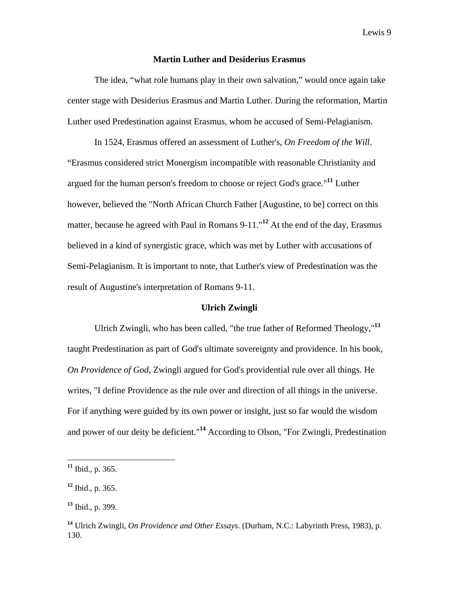### **Martin Luther and Desiderius Erasmus**

The idea, "what role humans play in their own salvation," would once again take center stage with Desiderius Erasmus and Martin Luther. During the reformation, Martin Luther used Predestination against Erasmus, whom he accused of Semi-Pelagianism.

In 1524, Erasmus offered an assessment of Luther's, *On Freedom of the Will*. "Erasmus considered strict Monergism incompatible with reasonable Christianity and argued for the human person's freedom to choose or reject God's grace."**<sup>11</sup>** Luther however, believed the "North African Church Father [Augustine, to be] correct on this matter, because he agreed with Paul in Romans 9-11."**<sup>12</sup>** At the end of the day, Erasmus believed in a kind of synergistic grace, which was met by Luther with accusations of Semi-Pelagianism. It is important to note, that Luther's view of Predestination was the result of Augustine's interpretation of Romans 9-11.

### **Ulrich Zwingli**

Ulrich Zwingli, who has been called, "the true father of Reformed Theology,"**<sup>13</sup>** taught Predestination as part of God's ultimate sovereignty and providence. In his book, *On Providence of God*, Zwingli argued for God's providential rule over all things. He writes, "I define Providence as the rule over and direction of all things in the universe. For if anything were guided by its own power or insight, just so far would the wisdom and power of our deity be deficient."**<sup>14</sup>** According to Olson, "For Zwingli, Predestination

**<sup>11</sup>** Ibid., p. 365.

**<sup>12</sup>** Ibid., p. 365.

**<sup>13</sup>** Ibid., p. 399.

**<sup>14</sup>** Ulrich Zwingli, *On Providence and Other Essays*. (Durham, N.C.: Labyrinth Press, 1983), p. 130.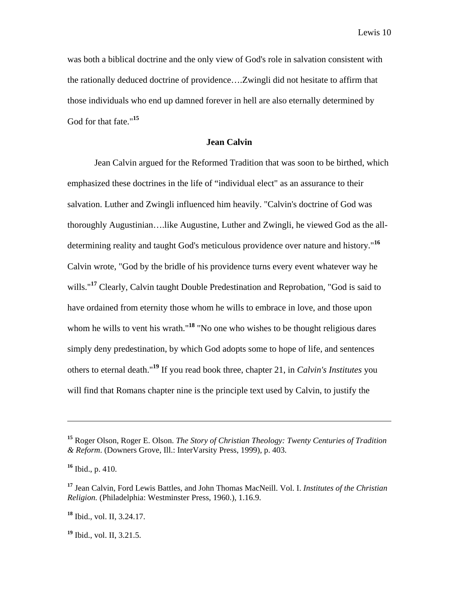was both a biblical doctrine and the only view of God's role in salvation consistent with the rationally deduced doctrine of providence….Zwingli did not hesitate to affirm that those individuals who end up damned forever in hell are also eternally determined by God for that fate."**<sup>15</sup>**

### **Jean Calvin**

Jean Calvin argued for the Reformed Tradition that was soon to be birthed, which emphasized these doctrines in the life of "individual elect" as an assurance to their salvation. Luther and Zwingli influenced him heavily. "Calvin's doctrine of God was thoroughly Augustinian….like Augustine, Luther and Zwingli, he viewed God as the alldetermining reality and taught God's meticulous providence over nature and history."**<sup>16</sup>** Calvin wrote, "God by the bridle of his providence turns every event whatever way he wills."**<sup>17</sup>** Clearly, Calvin taught Double Predestination and Reprobation, "God is said to have ordained from eternity those whom he wills to embrace in love, and those upon whom he wills to vent his wrath."<sup>18</sup> "No one who wishes to be thought religious dares simply deny predestination, by which God adopts some to hope of life, and sentences others to eternal death."**<sup>19</sup>** If you read book three, chapter 21, in *Calvin's Institutes* you will find that Romans chapter nine is the principle text used by Calvin, to justify the

 $\overline{a}$ 

**<sup>18</sup>** Ibid., vol. II, 3.24.17.

**<sup>19</sup>** Ibid., vol. II, 3.21.5.

**<sup>15</sup>** Roger Olson, Roger E. Olson. *The Story of Christian Theology: Twenty Centuries of Tradition & Reform*. (Downers Grove, Ill.: InterVarsity Press, 1999), p. 403.

**<sup>16</sup>** Ibid., p. 410.

**<sup>17</sup>** Jean Calvin, Ford Lewis Battles, and John Thomas MacNeill. Vol. I. *Institutes of the Christian Religion.* (Philadelphia: Westminster Press, 1960.), 1.16.9.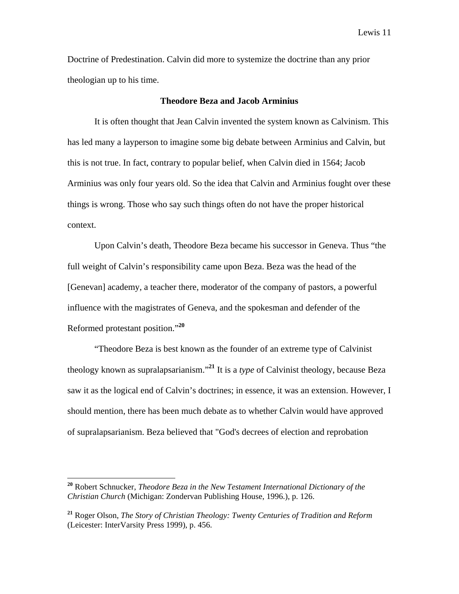Doctrine of Predestination. Calvin did more to systemize the doctrine than any prior theologian up to his time.

### **Theodore Beza and Jacob Arminius**

It is often thought that Jean Calvin invented the system known as Calvinism. This has led many a layperson to imagine some big debate between Arminius and Calvin, but this is not true. In fact, contrary to popular belief, when Calvin died in 1564; Jacob Arminius was only four years old. So the idea that Calvin and Arminius fought over these things is wrong. Those who say such things often do not have the proper historical context.

Upon Calvin's death, Theodore Beza became his successor in Geneva. Thus "the full weight of Calvin's responsibility came upon Beza. Beza was the head of the [Genevan] academy, a teacher there, moderator of the company of pastors, a powerful influence with the magistrates of Geneva, and the spokesman and defender of the Reformed protestant position."**<sup>20</sup>**

"Theodore Beza is best known as the founder of an extreme type of Calvinist theology known as supralapsarianism."**<sup>21</sup>** It is a *type* of Calvinist theology, because Beza saw it as the logical end of Calvin's doctrines; in essence, it was an extension. However, I should mention, there has been much debate as to whether Calvin would have approved of supralapsarianism. Beza believed that "God's decrees of election and reprobation

**<sup>20</sup>** Robert Schnucker, *Theodore Beza in the New Testament International Dictionary of the Christian Church* (Michigan: Zondervan Publishing House, 1996.), p. 126.

**<sup>21</sup>** Roger Olson, *The Story of Christian Theology: Twenty Centuries of Tradition and Reform* (Leicester: InterVarsity Press 1999), p. 456.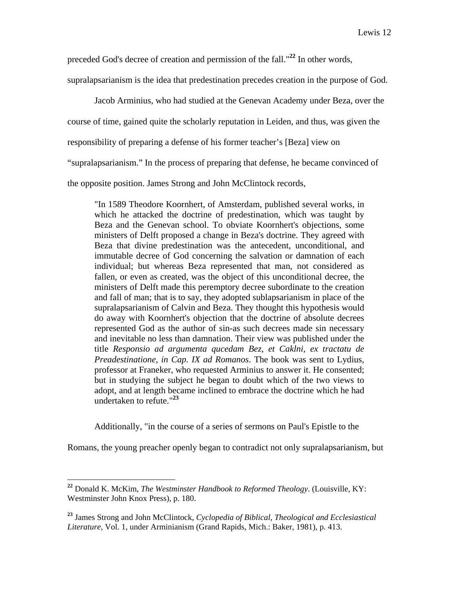preceded God's decree of creation and permission of the fall."**<sup>22</sup>** In other words,

supralapsarianism is the idea that predestination precedes creation in the purpose of God.

Jacob Arminius, who had studied at the Genevan Academy under Beza, over the

course of time, gained quite the scholarly reputation in Leiden, and thus, was given the

responsibility of preparing a defense of his former teacher's [Beza] view on

"supralapsarianism." In the process of preparing that defense, he became convinced of

the opposite position. James Strong and John McClintock records,

"In 1589 Theodore Koornhert, of Amsterdam, published several works, in which he attacked the doctrine of predestination, which was taught by Beza and the Genevan school. To obviate Koornhert's objections, some ministers of Delft proposed a change in Beza's doctrine. They agreed with Beza that divine predestination was the antecedent, unconditional, and immutable decree of God concerning the salvation or damnation of each individual; but whereas Beza represented that man, not considered as fallen, or even as created, was the object of this unconditional decree, the ministers of Delft made this peremptory decree subordinate to the creation and fall of man; that is to say, they adopted sublapsarianism in place of the supralapsarianism of Calvin and Beza. They thought this hypothesis would do away with Koornhert's objection that the doctrine of absolute decrees represented God as the author of sin-as such decrees made sin necessary and inevitable no less than damnation. Their view was published under the title *Responsio ad argumenta qucedam Bez, et Caklni, ex tractatu de Preadestinatione, in Cap. IX ad Romanos*. The book was sent to Lydius, professor at Franeker, who requested Arminius to answer it. He consented; but in studying the subject he began to doubt which of the two views to adopt, and at length became inclined to embrace the doctrine which he had undertaken to refute."**<sup>23</sup>**

Additionally, "in the course of a series of sermons on Paul's Epistle to the

Romans, the young preacher openly began to contradict not only supralapsarianism, but

**<sup>22</sup>** Donald K. McKim, *The Westminster Handbook to Reformed Theology*. (Louisville, KY: Westminster John Knox Press), p. 180.

**<sup>23</sup>** James Strong and John McClintock, *Cyclopedia of Biblical, Theological and Ecclesiastical Literature*, Vol. 1, under Arminianism (Grand Rapids, Mich.: Baker, 1981), p. 413.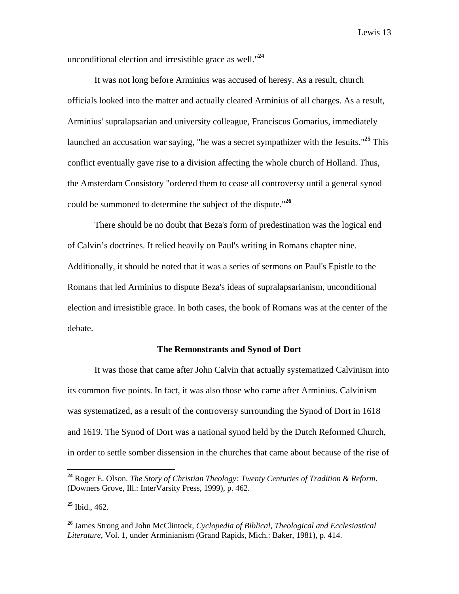unconditional election and irresistible grace as well."**<sup>24</sup>**

It was not long before Arminius was accused of heresy. As a result, church officials looked into the matter and actually cleared Arminius of all charges. As a result, Arminius' supralapsarian and university colleague, Franciscus Gomarius, immediately launched an accusation war saying, "he was a secret sympathizer with the Jesuits."**<sup>25</sup>** This conflict eventually gave rise to a division affecting the whole church of Holland. Thus, the Amsterdam Consistory "ordered them to cease all controversy until a general synod could be summoned to determine the subject of the dispute."**<sup>26</sup>**

There should be no doubt that Beza's form of predestination was the logical end of Calvin's doctrines. It relied heavily on Paul's writing in Romans chapter nine. Additionally, it should be noted that it was a series of sermons on Paul's Epistle to the Romans that led Arminius to dispute Beza's ideas of supralapsarianism, unconditional election and irresistible grace. In both cases, the book of Romans was at the center of the debate.

### **The Remonstrants and Synod of Dort**

It was those that came after John Calvin that actually systematized Calvinism into its common five points. In fact, it was also those who came after Arminius. Calvinism was systematized, as a result of the controversy surrounding the Synod of Dort in 1618 and 1619. The Synod of Dort was a national synod held by the Dutch Reformed Church, in order to settle somber dissension in the churches that came about because of the rise of

**<sup>24</sup>** Roger E. Olson. *The Story of Christian Theology: Twenty Centuries of Tradition & Reform*. (Downers Grove, Ill.: InterVarsity Press, 1999), p. 462.

**<sup>25</sup>** Ibid., 462.

**<sup>26</sup>** James Strong and John McClintock, *Cyclopedia of Biblical, Theological and Ecclesiastical Literature*, Vol. 1, under Arminianism (Grand Rapids, Mich.: Baker, 1981), p. 414.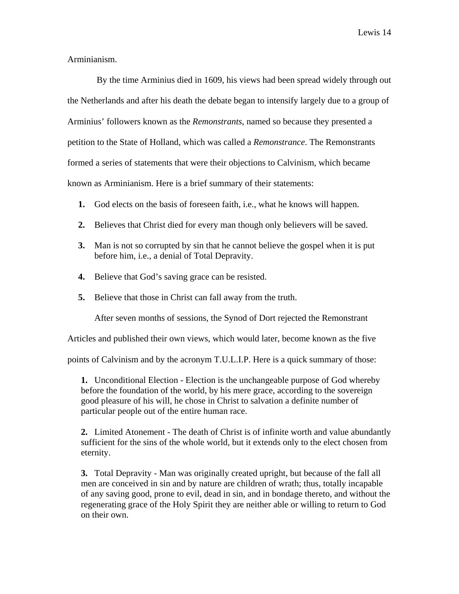Arminianism.

 By the time Arminius died in 1609, his views had been spread widely through out the Netherlands and after his death the debate began to intensify largely due to a group of Arminius' followers known as the *Remonstrants*, named so because they presented a petition to the State of Holland, which was called a *Remonstrance*. The Remonstrants formed a series of statements that were their objections to Calvinism, which became known as Arminianism. Here is a brief summary of their statements:

- **1.** God elects on the basis of foreseen faith, i.e., what he knows will happen.
- **2.** Believes that Christ died for every man though only believers will be saved.
- **3.** Man is not so corrupted by sin that he cannot believe the gospel when it is put before him, i.e., a denial of Total Depravity.
- **4.** Believe that God's saving grace can be resisted.
- **5.** Believe that those in Christ can fall away from the truth.

After seven months of sessions, the Synod of Dort rejected the Remonstrant

Articles and published their own views, which would later, become known as the five

points of Calvinism and by the acronym T.U.L.I.P. Here is a quick summary of those:

**1.** Unconditional Election - Election is the unchangeable purpose of God whereby before the foundation of the world, by his mere grace, according to the sovereign good pleasure of his will, he chose in Christ to salvation a definite number of particular people out of the entire human race.

**2.** Limited Atonement - The death of Christ is of infinite worth and value abundantly sufficient for the sins of the whole world, but it extends only to the elect chosen from eternity.

**3.** Total Depravity - Man was originally created upright, but because of the fall all men are conceived in sin and by nature are children of wrath; thus, totally incapable of any saving good, prone to evil, dead in sin, and in bondage thereto, and without the regenerating grace of the Holy Spirit they are neither able or willing to return to God on their own.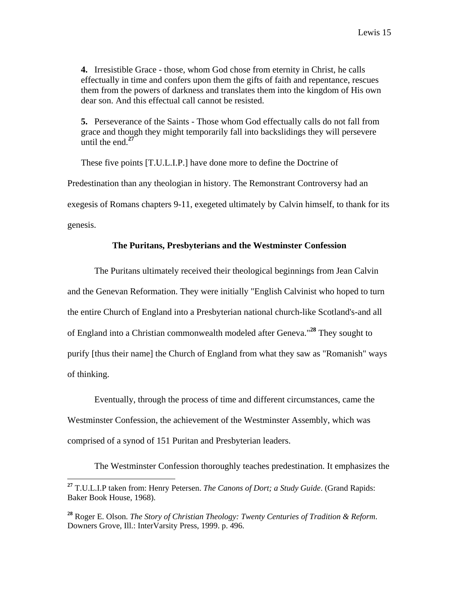**4.** Irresistible Grace - those, whom God chose from eternity in Christ, he calls effectually in time and confers upon them the gifts of faith and repentance, rescues them from the powers of darkness and translates them into the kingdom of His own dear son. And this effectual call cannot be resisted.

**5.** Perseverance of the Saints - Those whom God effectually calls do not fall from grace and though they might temporarily fall into backslidings they will persevere until the end.**<sup>27</sup>**

These five points [T.U.L.I.P.] have done more to define the Doctrine of Predestination than any theologian in history. The Remonstrant Controversy had an exegesis of Romans chapters 9-11, exegeted ultimately by Calvin himself, to thank for its genesis.

### **The Puritans, Presbyterians and the Westminster Confession**

The Puritans ultimately received their theological beginnings from Jean Calvin and the Genevan Reformation. They were initially "English Calvinist who hoped to turn the entire Church of England into a Presbyterian national church-like Scotland's-and all of England into a Christian commonwealth modeled after Geneva."**<sup>28</sup>** They sought to purify [thus their name] the Church of England from what they saw as "Romanish" ways of thinking.

Eventually, through the process of time and different circumstances, came the Westminster Confession, the achievement of the Westminster Assembly, which was comprised of a synod of 151 Puritan and Presbyterian leaders.

The Westminster Confession thoroughly teaches predestination. It emphasizes the

 $\overline{a}$ **<sup>27</sup>** T.U.L.I.P taken from: Henry Petersen. *The Canons of Dort; a Study Guide*. (Grand Rapids: Baker Book House, 1968).

**<sup>28</sup>** Roger E. Olson. *The Story of Christian Theology: Twenty Centuries of Tradition & Reform*. Downers Grove, Ill.: InterVarsity Press, 1999. p. 496.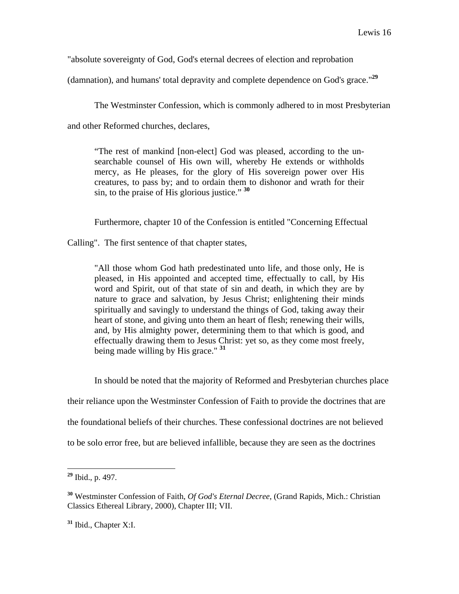"absolute sovereignty of God, God's eternal decrees of election and reprobation

(damnation), and humans' total depravity and complete dependence on God's grace."**<sup>29</sup>**

The Westminster Confession, which is commonly adhered to in most Presbyterian

and other Reformed churches, declares,

"The rest of mankind [non-elect] God was pleased, according to the unsearchable counsel of His own will, whereby He extends or withholds mercy, as He pleases, for the glory of His sovereign power over His creatures, to pass by; and to ordain them to dishonor and wrath for their sin, to the praise of His glorious justice." **<sup>30</sup>**

Furthermore, chapter 10 of the Confession is entitled "Concerning Effectual

Calling". The first sentence of that chapter states,

"All those whom God hath predestinated unto life, and those only, He is pleased, in His appointed and accepted time, effectually to call, by His word and Spirit, out of that state of sin and death, in which they are by nature to grace and salvation, by Jesus Christ; enlightening their minds spiritually and savingly to understand the things of God, taking away their heart of stone, and giving unto them an heart of flesh; renewing their wills, and, by His almighty power, determining them to that which is good, and effectually drawing them to Jesus Christ: yet so, as they come most freely, being made willing by His grace." **<sup>31</sup>**

In should be noted that the majority of Reformed and Presbyterian churches place their reliance upon the Westminster Confession of Faith to provide the doctrines that are the foundational beliefs of their churches. These confessional doctrines are not believed

to be solo error free, but are believed infallible, because they are seen as the doctrines

**<sup>29</sup>** Ibid., p. 497.

**<sup>30</sup>** Westminster Confession of Faith, *Of God's Eternal Decree*, (Grand Rapids, Mich.: Christian Classics Ethereal Library, 2000), Chapter III; VII.

**<sup>31</sup>** Ibid., Chapter X:I.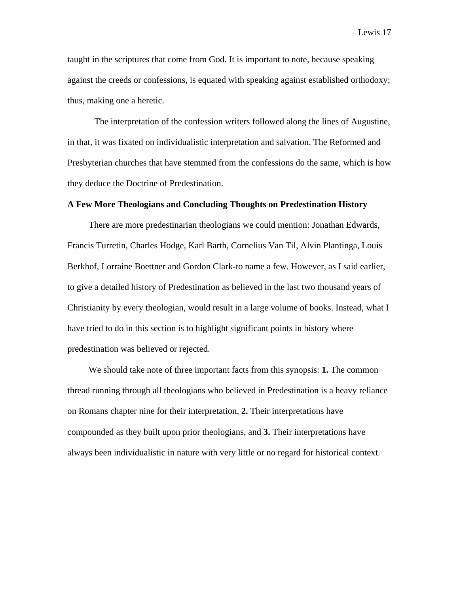taught in the scriptures that come from God. It is important to note, because speaking against the creeds or confessions, is equated with speaking against established orthodoxy; thus, making one a heretic.

The interpretation of the confession writers followed along the lines of Augustine, in that, it was fixated on individualistic interpretation and salvation. The Reformed and Presbyterian churches that have stemmed from the confessions do the same, which is how they deduce the Doctrine of Predestination.

### **A Few More Theologians and Concluding Thoughts on Predestination History**

There are more predestinarian theologians we could mention: Jonathan Edwards, Francis Turretin, Charles Hodge, Karl Barth, Cornelius Van Til, Alvin Plantinga, Louis Berkhof, Lorraine Boettner and Gordon Clark-to name a few. However, as I said earlier, to give a detailed history of Predestination as believed in the last two thousand years of Christianity by every theologian, would result in a large volume of books. Instead, what I have tried to do in this section is to highlight significant points in history where predestination was believed or rejected.

We should take note of three important facts from this synopsis: **1.** The common thread running through all theologians who believed in Predestination is a heavy reliance on Romans chapter nine for their interpretation, **2.** Their interpretations have compounded as they built upon prior theologians, and **3.** Their interpretations have always been individualistic in nature with very little or no regard for historical context.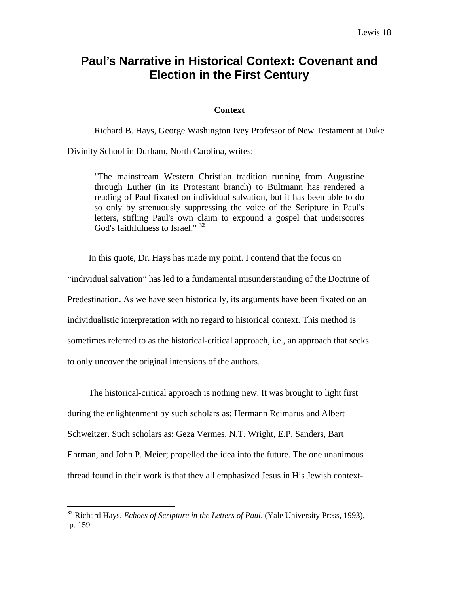# **Paul's Narrative in Historical Context: Covenant and Election in the First Century**

### **Context**

Richard B. Hays, George Washington Ivey Professor of New Testament at Duke

Divinity School in Durham, North Carolina, writes:

"The mainstream Western Christian tradition running from Augustine through Luther (in its Protestant branch) to Bultmann has rendered a reading of Paul fixated on individual salvation, but it has been able to do so only by strenuously suppressing the voice of the Scripture in Paul's letters, stifling Paul's own claim to expound a gospel that underscores God's faithfulness to Israel." **<sup>32</sup>**

In this quote, Dr. Hays has made my point. I contend that the focus on "individual salvation" has led to a fundamental misunderstanding of the Doctrine of Predestination. As we have seen historically, its arguments have been fixated on an individualistic interpretation with no regard to historical context. This method is sometimes referred to as the historical-critical approach, i.e., an approach that seeks to only uncover the original intensions of the authors.

The historical-critical approach is nothing new. It was brought to light first during the enlightenment by such scholars as: Hermann Reimarus and Albert Schweitzer. Such scholars as: Geza Vermes, N.T. Wright, E.P. Sanders, Bart Ehrman, and John P. Meier; propelled the idea into the future. The one unanimous thread found in their work is that they all emphasized Jesus in His Jewish context-

**<sup>32</sup>** Richard Hays, *Echoes of Scripture in the Letters of Paul*. (Yale University Press, 1993), p. 159.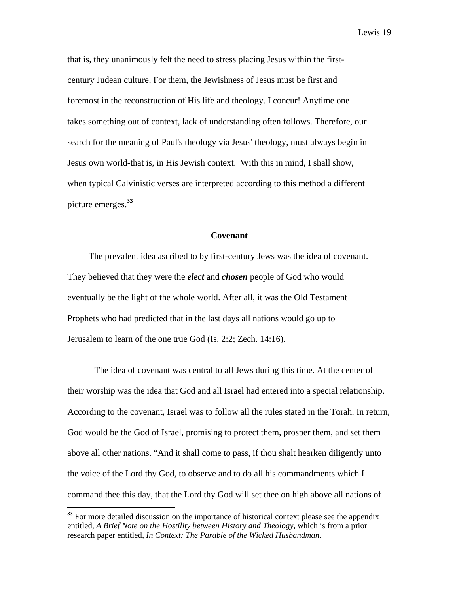that is, they unanimously felt the need to stress placing Jesus within the firstcentury Judean culture. For them, the Jewishness of Jesus must be first and foremost in the reconstruction of His life and theology. I concur! Anytime one takes something out of context, lack of understanding often follows. Therefore, our search for the meaning of Paul's theology via Jesus' theology, must always begin in Jesus own world-that is, in His Jewish context. With this in mind, I shall show, when typical Calvinistic verses are interpreted according to this method a different picture emerges.**<sup>33</sup>**

### **Covenant**

The prevalent idea ascribed to by first-century Jews was the idea of covenant. They believed that they were the *elect* and *chosen* people of God who would eventually be the light of the whole world. After all, it was the Old Testament Prophets who had predicted that in the last days all nations would go up to Jerusalem to learn of the one true God (Is. 2:2; Zech. 14:16).

The idea of covenant was central to all Jews during this time. At the center of their worship was the idea that God and all Israel had entered into a special relationship. According to the covenant, Israel was to follow all the rules stated in the Torah. In return, God would be the God of Israel, promising to protect them, prosper them, and set them above all other nations. "And it shall come to pass, if thou shalt hearken diligently unto the voice of the Lord thy God, to observe and to do all his commandments which I command thee this day, that the Lord thy God will set thee on high above all nations of

<sup>&</sup>lt;sup>33</sup> For more detailed discussion on the importance of historical context please see the appendix entitled, *A Brief Note on the Hostility between History and Theology*, which is from a prior research paper entitled, *In Context: The Parable of the Wicked Husbandman*.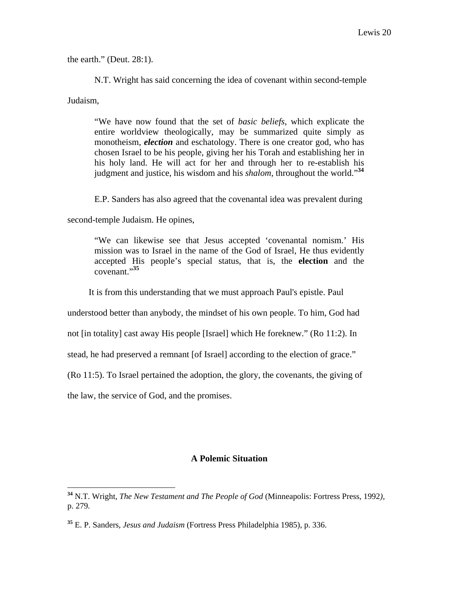the earth." (Deut. 28:1).

N.T. Wright has said concerning the idea of covenant within second-temple

Judaism,

 $\overline{a}$ 

"We have now found that the set of *basic beliefs*, which explicate the entire worldview theologically, may be summarized quite simply as monotheism, *election* and eschatology. There is one creator god, who has chosen Israel to be his people, giving her his Torah and establishing her in his holy land. He will act for her and through her to re-establish his judgment and justice, his wisdom and his *shalom*, throughout the world."**<sup>34</sup>**

E.P. Sanders has also agreed that the covenantal idea was prevalent during

second-temple Judaism. He opines,

"We can likewise see that Jesus accepted 'covenantal nomism.' His mission was to Israel in the name of the God of Israel, He thus evidently accepted His people's special status, that is, the **election** and the covenant."**<sup>35</sup>**

It is from this understanding that we must approach Paul's epistle. Paul

understood better than anybody, the mindset of his own people. To him, God had

not [in totality] cast away His people [Israel] which He foreknew." (Ro 11:2). In

stead, he had preserved a remnant [of Israel] according to the election of grace."

(Ro 11:5). To Israel pertained the adoption, the glory, the covenants, the giving of

the law, the service of God, and the promises.

### **A Polemic Situation**

**<sup>34</sup>** N.T. Wright, *The New Testament and The People of God* (Minneapolis: Fortress Press, 1992*),*  p. 279*.* 

**<sup>35</sup>** E. P. Sanders, *Jesus and Judaism* (Fortress Press Philadelphia 1985), p. 336.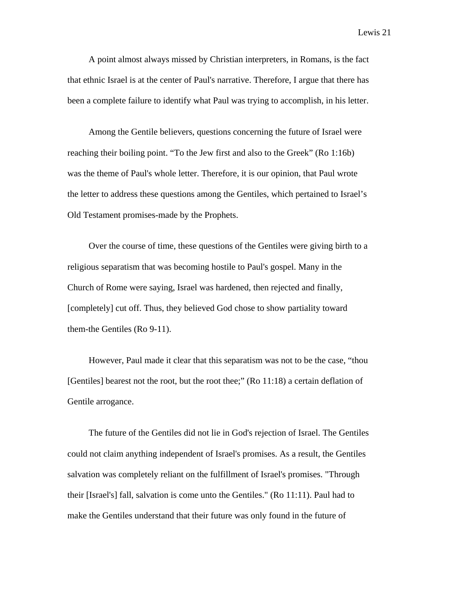A point almost always missed by Christian interpreters, in Romans, is the fact that ethnic Israel is at the center of Paul's narrative. Therefore, I argue that there has been a complete failure to identify what Paul was trying to accomplish, in his letter.

Among the Gentile believers, questions concerning the future of Israel were reaching their boiling point. "To the Jew first and also to the Greek" (Ro 1:16b) was the theme of Paul's whole letter. Therefore, it is our opinion, that Paul wrote the letter to address these questions among the Gentiles, which pertained to Israel's Old Testament promises-made by the Prophets.

Over the course of time, these questions of the Gentiles were giving birth to a religious separatism that was becoming hostile to Paul's gospel. Many in the Church of Rome were saying, Israel was hardened, then rejected and finally, [completely] cut off. Thus, they believed God chose to show partiality toward them-the Gentiles (Ro 9-11).

However, Paul made it clear that this separatism was not to be the case, "thou [Gentiles] bearest not the root, but the root thee;" (Ro 11:18) a certain deflation of Gentile arrogance.

The future of the Gentiles did not lie in God's rejection of Israel. The Gentiles could not claim anything independent of Israel's promises. As a result, the Gentiles salvation was completely reliant on the fulfillment of Israel's promises. "Through their [Israel's] fall, salvation is come unto the Gentiles." (Ro 11:11). Paul had to make the Gentiles understand that their future was only found in the future of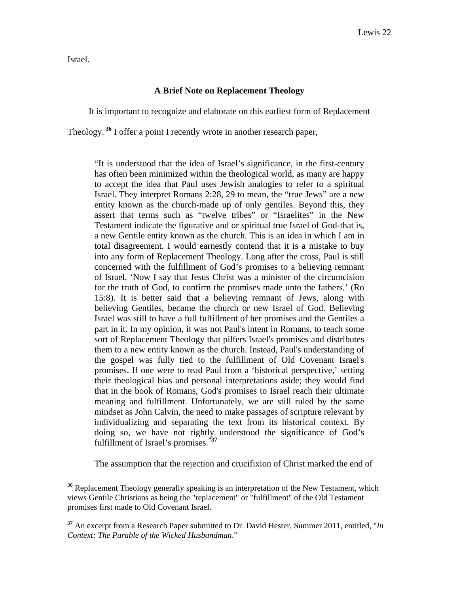Israel.

1

### **A Brief Note on Replacement Theology**

It is important to recognize and elaborate on this earliest form of Replacement

Theology.**<sup>36</sup>** I offer a point I recently wrote in another research paper,

"It is understood that the idea of Israel's significance, in the first-century has often been minimized within the theological world, as many are happy to accept the idea that Paul uses Jewish analogies to refer to a spiritual Israel. They interpret Romans 2:28, 29 to mean, the "true Jews" are a new entity known as the church-made up of only gentiles. Beyond this, they assert that terms such as "twelve tribes" or "Israelites" in the New Testament indicate the figurative and or spiritual true Israel of God-that is, a new Gentile entity known as the church. This is an idea in which I am in total disagreement. I would earnestly contend that it is a mistake to buy into any form of Replacement Theology. Long after the cross, Paul is still concerned with the fulfillment of God's promises to a believing remnant of Israel, 'Now I say that Jesus Christ was a minister of the circumcision for the truth of God, to confirm the promises made unto the fathers.' (Ro 15:8). It is better said that a believing remnant of Jews, along with believing Gentiles, became the church or new Israel of God. Believing Israel was still to have a full fulfillment of her promises and the Gentiles a part in it. In my opinion, it was not Paul's intent in Romans, to teach some sort of Replacement Theology that pilfers Israel's promises and distributes them to a new entity known as the church. Instead, Paul's understanding of the gospel was fully tied to the fulfillment of Old Covenant Israel's promises. If one were to read Paul from a 'historical perspective,' setting their theological bias and personal interpretations aside; they would find that in the book of Romans, God's promises to Israel reach their ultimate meaning and fulfillment. Unfortunately, we are still ruled by the same mindset as John Calvin, the need to make passages of scripture relevant by individualizing and separating the text from its historical context. By doing so, we have not rightly understood the significance of God's fulfillment of Israel's promises.**"37**

The assumption that the rejection and crucifixion of Christ marked the end of

**<sup>36</sup>** Replacement Theology generally speaking is an interpretation of the New Testament, which views Gentile Christians as being the "replacement" or "fulfillment" of the Old Testament promises first made to Old Covenant Israel.

**<sup>37</sup>** An excerpt from a Research Paper submitted to Dr. David Hester, Summer 2011, entitled, "*In Context: The Parable of the Wicked Husbandman*."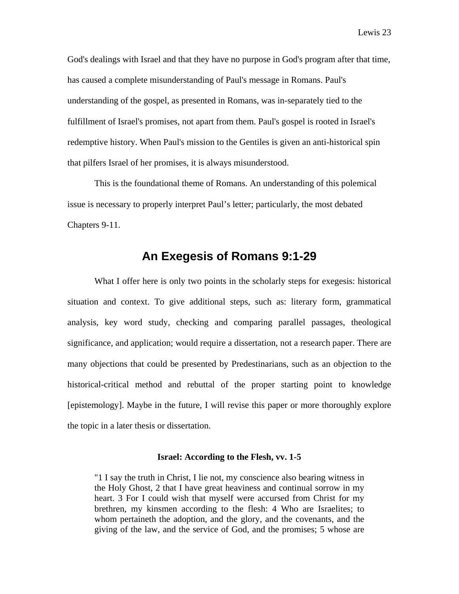God's dealings with Israel and that they have no purpose in God's program after that time, has caused a complete misunderstanding of Paul's message in Romans. Paul's understanding of the gospel, as presented in Romans, was in-separately tied to the fulfillment of Israel's promises, not apart from them. Paul's gospel is rooted in Israel's redemptive history. When Paul's mission to the Gentiles is given an anti-historical spin that pilfers Israel of her promises, it is always misunderstood.

This is the foundational theme of Romans. An understanding of this polemical issue is necessary to properly interpret Paul's letter; particularly, the most debated Chapters 9-11.

### **An Exegesis of Romans 9:1-29**

What I offer here is only two points in the scholarly steps for exegesis: historical situation and context. To give additional steps, such as: literary form, grammatical analysis, key word study, checking and comparing parallel passages, theological significance, and application; would require a dissertation, not a research paper. There are many objections that could be presented by Predestinarians, such as an objection to the historical-critical method and rebuttal of the proper starting point to knowledge [epistemology]. Maybe in the future, I will revise this paper or more thoroughly explore the topic in a later thesis or dissertation.

### **Israel: According to the Flesh, vv. 1-5**

"1 I say the truth in Christ, I lie not, my conscience also bearing witness in the Holy Ghost, 2 that I have great heaviness and continual sorrow in my heart. 3 For I could wish that myself were accursed from Christ for my brethren, my kinsmen according to the flesh: 4 Who are Israelites; to whom pertaineth the adoption, and the glory, and the covenants, and the giving of the law, and the service of God, and the promises; 5 whose are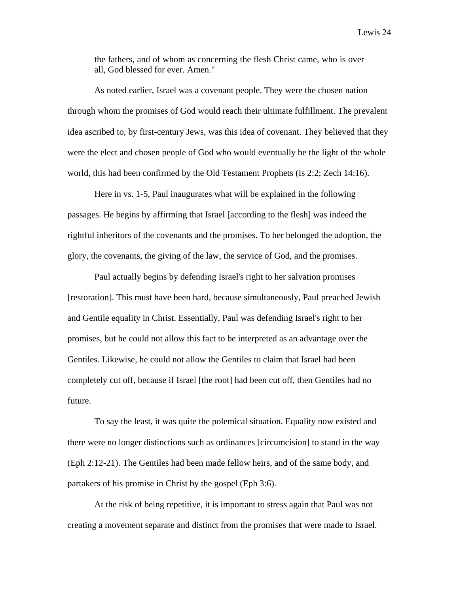the fathers, and of whom as concerning the flesh Christ came, who is over all, God blessed for ever. Amen."

As noted earlier, Israel was a covenant people. They were the chosen nation through whom the promises of God would reach their ultimate fulfillment. The prevalent idea ascribed to, by first-century Jews, was this idea of covenant. They believed that they were the elect and chosen people of God who would eventually be the light of the whole world, this had been confirmed by the Old Testament Prophets (Is 2:2; Zech 14:16).

Here in vs. 1-5, Paul inaugurates what will be explained in the following passages. He begins by affirming that Israel [according to the flesh] was indeed the rightful inheritors of the covenants and the promises. To her belonged the adoption, the glory, the covenants, the giving of the law, the service of God, and the promises.

Paul actually begins by defending Israel's right to her salvation promises [restoration]. This must have been hard, because simultaneously, Paul preached Jewish and Gentile equality in Christ. Essentially, Paul was defending Israel's right to her promises, but he could not allow this fact to be interpreted as an advantage over the Gentiles. Likewise, he could not allow the Gentiles to claim that Israel had been completely cut off, because if Israel [the root] had been cut off, then Gentiles had no future.

To say the least, it was quite the polemical situation. Equality now existed and there were no longer distinctions such as ordinances [circumcision] to stand in the way (Eph 2:12-21). The Gentiles had been made fellow heirs, and of the same body, and partakers of his promise in Christ by the gospel (Eph 3:6).

At the risk of being repetitive, it is important to stress again that Paul was not creating a movement separate and distinct from the promises that were made to Israel.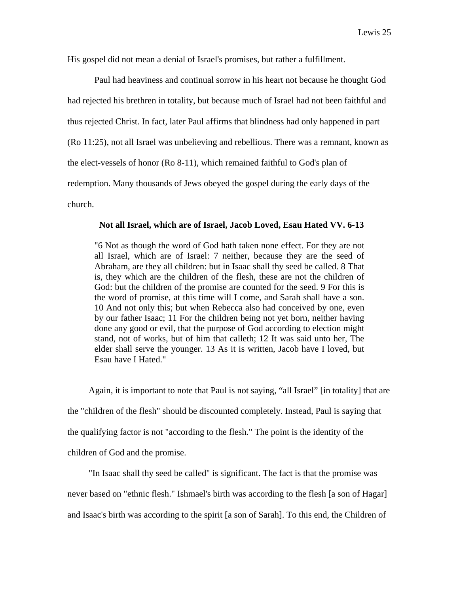His gospel did not mean a denial of Israel's promises, but rather a fulfillment.

Paul had heaviness and continual sorrow in his heart not because he thought God had rejected his brethren in totality, but because much of Israel had not been faithful and thus rejected Christ. In fact, later Paul affirms that blindness had only happened in part (Ro 11:25), not all Israel was unbelieving and rebellious. There was a remnant, known as the elect-vessels of honor (Ro 8-11), which remained faithful to God's plan of redemption. Many thousands of Jews obeyed the gospel during the early days of the church.

### **Not all Israel, which are of Israel, Jacob Loved, Esau Hated VV. 6-13**

"6 Not as though the word of God hath taken none effect. For they are not all Israel, which are of Israel: 7 neither, because they are the seed of Abraham, are they all children: but in Isaac shall thy seed be called. 8 That is, they which are the children of the flesh, these are not the children of God: but the children of the promise are counted for the seed. 9 For this is the word of promise, at this time will I come, and Sarah shall have a son. 10 And not only this; but when Rebecca also had conceived by one, even by our father Isaac; 11 For the children being not yet born, neither having done any good or evil, that the purpose of God according to election might stand, not of works, but of him that calleth; 12 It was said unto her, The elder shall serve the younger. 13 As it is written, Jacob have I loved, but Esau have I Hated."

Again, it is important to note that Paul is not saying, "all Israel" [in totality] that are the "children of the flesh" should be discounted completely. Instead, Paul is saying that the qualifying factor is not "according to the flesh." The point is the identity of the children of God and the promise.

"In Isaac shall thy seed be called" is significant. The fact is that the promise was never based on "ethnic flesh." Ishmael's birth was according to the flesh [a son of Hagar] and Isaac's birth was according to the spirit [a son of Sarah]. To this end, the Children of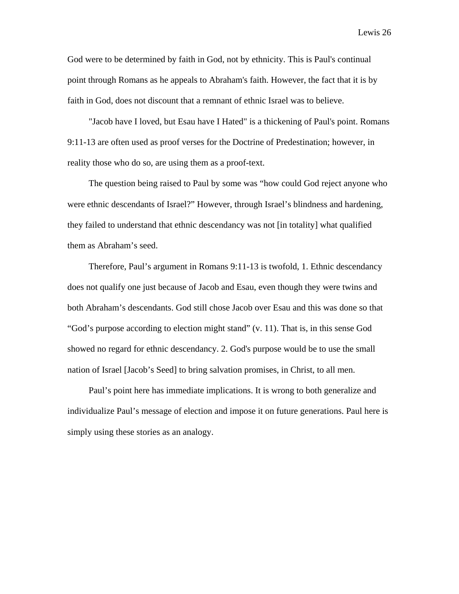God were to be determined by faith in God, not by ethnicity. This is Paul's continual point through Romans as he appeals to Abraham's faith. However, the fact that it is by faith in God, does not discount that a remnant of ethnic Israel was to believe.

"Jacob have I loved, but Esau have I Hated" is a thickening of Paul's point. Romans 9:11-13 are often used as proof verses for the Doctrine of Predestination; however, in reality those who do so, are using them as a proof-text.

The question being raised to Paul by some was "how could God reject anyone who were ethnic descendants of Israel?" However, through Israel's blindness and hardening, they failed to understand that ethnic descendancy was not [in totality] what qualified them as Abraham's seed.

Therefore, Paul's argument in Romans 9:11-13 is twofold, 1. Ethnic descendancy does not qualify one just because of Jacob and Esau, even though they were twins and both Abraham's descendants. God still chose Jacob over Esau and this was done so that "God's purpose according to election might stand" (v. 11). That is, in this sense God showed no regard for ethnic descendancy. 2. God's purpose would be to use the small nation of Israel [Jacob's Seed] to bring salvation promises, in Christ, to all men.

Paul's point here has immediate implications. It is wrong to both generalize and individualize Paul's message of election and impose it on future generations. Paul here is simply using these stories as an analogy.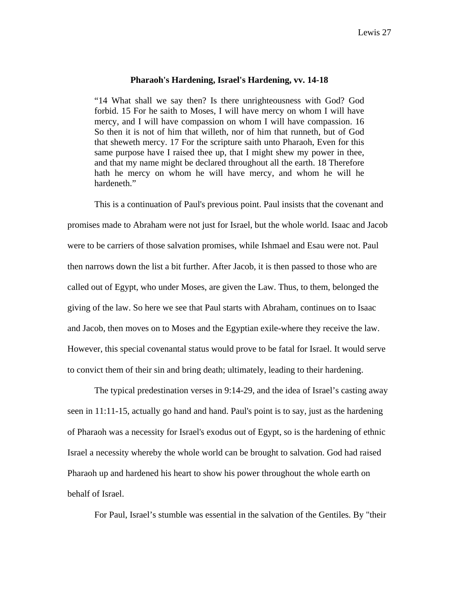### **Pharaoh's Hardening, Israel's Hardening, vv. 14-18**

"14 What shall we say then? Is there unrighteousness with God? God forbid. 15 For he saith to Moses, I will have mercy on whom I will have mercy, and I will have compassion on whom I will have compassion. 16 So then it is not of him that willeth, nor of him that runneth, but of God that sheweth mercy. 17 For the scripture saith unto Pharaoh, Even for this same purpose have I raised thee up, that I might shew my power in thee, and that my name might be declared throughout all the earth. 18 Therefore hath he mercy on whom he will have mercy, and whom he will he hardeneth."

This is a continuation of Paul's previous point. Paul insists that the covenant and promises made to Abraham were not just for Israel, but the whole world. Isaac and Jacob were to be carriers of those salvation promises, while Ishmael and Esau were not. Paul then narrows down the list a bit further. After Jacob, it is then passed to those who are called out of Egypt, who under Moses, are given the Law. Thus, to them, belonged the giving of the law. So here we see that Paul starts with Abraham, continues on to Isaac and Jacob, then moves on to Moses and the Egyptian exile-where they receive the law. However, this special covenantal status would prove to be fatal for Israel. It would serve to convict them of their sin and bring death; ultimately, leading to their hardening.

The typical predestination verses in 9:14-29, and the idea of Israel's casting away seen in 11:11-15, actually go hand and hand. Paul's point is to say, just as the hardening of Pharaoh was a necessity for Israel's exodus out of Egypt, so is the hardening of ethnic Israel a necessity whereby the whole world can be brought to salvation. God had raised Pharaoh up and hardened his heart to show his power throughout the whole earth on behalf of Israel.

For Paul, Israel's stumble was essential in the salvation of the Gentiles. By "their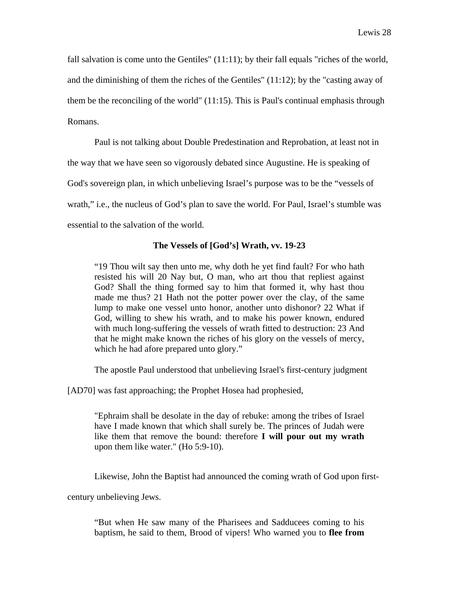fall salvation is come unto the Gentiles" (11:11); by their fall equals "riches of the world, and the diminishing of them the riches of the Gentiles" (11:12); by the "casting away of them be the reconciling of the world" (11:15). This is Paul's continual emphasis through Romans.

Paul is not talking about Double Predestination and Reprobation, at least not in

the way that we have seen so vigorously debated since Augustine. He is speaking of

God's sovereign plan, in which unbelieving Israel's purpose was to be the "vessels of

wrath," i.e., the nucleus of God's plan to save the world. For Paul, Israel's stumble was

essential to the salvation of the world.

### **The Vessels of [God's] Wrath, vv. 19-23**

"19 Thou wilt say then unto me, why doth he yet find fault? For who hath resisted his will 20 Nay but, O man, who art thou that repliest against God? Shall the thing formed say to him that formed it, why hast thou made me thus? 21 Hath not the potter power over the clay, of the same lump to make one vessel unto honor, another unto dishonor? 22 What if God, willing to shew his wrath, and to make his power known, endured with much long-suffering the vessels of wrath fitted to destruction: 23 And that he might make known the riches of his glory on the vessels of mercy, which he had afore prepared unto glory."

The apostle Paul understood that unbelieving Israel's first-century judgment

[AD70] was fast approaching; the Prophet Hosea had prophesied,

"Ephraim shall be desolate in the day of rebuke: among the tribes of Israel have I made known that which shall surely be. The princes of Judah were like them that remove the bound: therefore **I will pour out my wrath** upon them like water." (Ho 5:9-10).

Likewise, John the Baptist had announced the coming wrath of God upon first-

century unbelieving Jews.

"But when He saw many of the Pharisees and Sadducees coming to his baptism, he said to them, Brood of vipers! Who warned you to **flee from**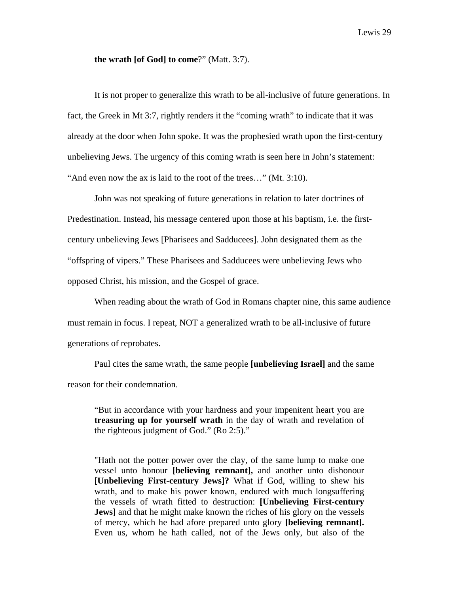### **the wrath [of God] to come**?" (Matt. 3:7).

It is not proper to generalize this wrath to be all-inclusive of future generations. In fact, the Greek in Mt 3:7, rightly renders it the "coming wrath" to indicate that it was already at the door when John spoke. It was the prophesied wrath upon the first-century unbelieving Jews. The urgency of this coming wrath is seen here in John's statement: "And even now the ax is laid to the root of the trees…" (Mt. 3:10).

John was not speaking of future generations in relation to later doctrines of Predestination. Instead, his message centered upon those at his baptism, i.e. the firstcentury unbelieving Jews [Pharisees and Sadducees]. John designated them as the "offspring of vipers." These Pharisees and Sadducees were unbelieving Jews who opposed Christ, his mission, and the Gospel of grace.

When reading about the wrath of God in Romans chapter nine, this same audience must remain in focus. I repeat, NOT a generalized wrath to be all-inclusive of future generations of reprobates.

Paul cites the same wrath, the same people **[unbelieving Israel]** and the same reason for their condemnation.

"But in accordance with your hardness and your impenitent heart you are **treasuring up for yourself wrath** in the day of wrath and revelation of the righteous judgment of God." (Ro 2:5)."

"Hath not the potter power over the clay, of the same lump to make one vessel unto honour **[believing remnant],** and another unto dishonour **[Unbelieving First-century Jews]?** What if God, willing to shew his wrath, and to make his power known, endured with much longsuffering the vessels of wrath fitted to destruction: **[Unbelieving First-century Jews** and that he might make known the riches of his glory on the vessels of mercy, which he had afore prepared unto glory **[believing remnant].**  Even us, whom he hath called, not of the Jews only, but also of the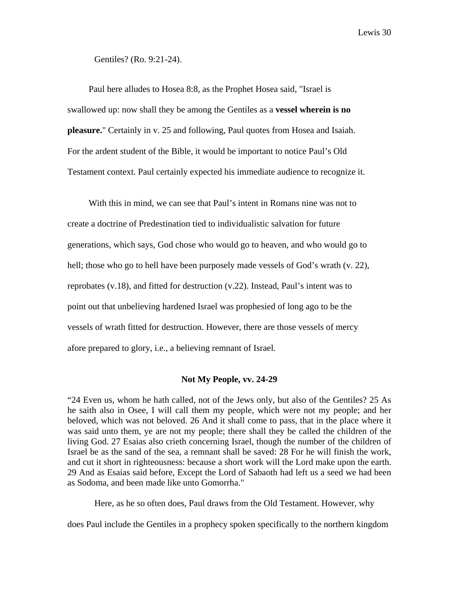Gentiles? (Ro. 9:21-24).

Paul here alludes to Hosea 8:8, as the Prophet Hosea said, "Israel is swallowed up: now shall they be among the Gentiles as a **vessel wherein is no pleasure.**" Certainly in v. 25 and following, Paul quotes from Hosea and Isaiah. For the ardent student of the Bible, it would be important to notice Paul's Old Testament context. Paul certainly expected his immediate audience to recognize it.

With this in mind, we can see that Paul's intent in Romans nine was not to create a doctrine of Predestination tied to individualistic salvation for future generations, which says, God chose who would go to heaven, and who would go to hell; those who go to hell have been purposely made vessels of God's wrath (v. 22), reprobates  $(v.18)$ , and fitted for destruction  $(v.22)$ . Instead, Paul's intent was to point out that unbelieving hardened Israel was prophesied of long ago to be the vessels of wrath fitted for destruction. However, there are those vessels of mercy afore prepared to glory, i.e., a believing remnant of Israel.

### **Not My People, vv. 24-29**

"24 Even us, whom he hath called, not of the Jews only, but also of the Gentiles? 25 As he saith also in Osee, I will call them my people, which were not my people; and her beloved, which was not beloved. 26 And it shall come to pass, that in the place where it was said unto them, ye are not my people; there shall they be called the children of the living God. 27 Esaias also crieth concerning Israel, though the number of the children of Israel be as the sand of the sea, a remnant shall be saved: 28 For he will finish the work, and cut it short in righteousness: because a short work will the Lord make upon the earth. 29 And as Esaias said before, Except the Lord of Sabaoth had left us a seed we had been as Sodoma, and been made like unto Gomorrha."

Here, as he so often does, Paul draws from the Old Testament. However, why

does Paul include the Gentiles in a prophecy spoken specifically to the northern kingdom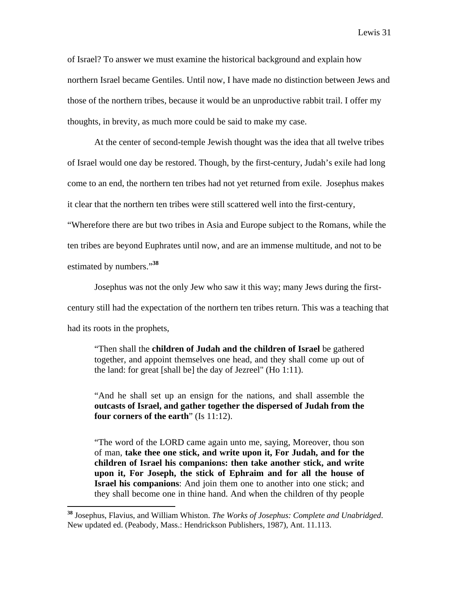of Israel? To answer we must examine the historical background and explain how northern Israel became Gentiles. Until now, I have made no distinction between Jews and those of the northern tribes, because it would be an unproductive rabbit trail. I offer my thoughts, in brevity, as much more could be said to make my case.

At the center of second-temple Jewish thought was the idea that all twelve tribes of Israel would one day be restored. Though, by the first-century, Judah's exile had long come to an end, the northern ten tribes had not yet returned from exile. Josephus makes it clear that the northern ten tribes were still scattered well into the first-century, "Wherefore there are but two tribes in Asia and Europe subject to the Romans, while the ten tribes are beyond Euphrates until now, and are an immense multitude, and not to be estimated by numbers."**<sup>38</sup>**

Josephus was not the only Jew who saw it this way; many Jews during the firstcentury still had the expectation of the northern ten tribes return. This was a teaching that had its roots in the prophets,

"Then shall the **children of Judah and the children of Israel** be gathered together, and appoint themselves one head, and they shall come up out of the land: for great [shall be] the day of Jezreel" (Ho 1:11).

"And he shall set up an ensign for the nations, and shall assemble the **outcasts of Israel, and gather together the dispersed of Judah from the four corners of the earth**" (Is 11:12).

"The word of the LORD came again unto me, saying, Moreover, thou son of man, **take thee one stick, and write upon it, For Judah, and for the children of Israel his companions: then take another stick, and write upon it, For Joseph, the stick of Ephraim and for all the house of Israel his companions**: And join them one to another into one stick; and they shall become one in thine hand. And when the children of thy people

**<sup>38</sup>** Josephus, Flavius, and William Whiston. *The Works of Josephus: Complete and Unabridged*. New updated ed. (Peabody, Mass.: Hendrickson Publishers, 1987), Ant. 11.113.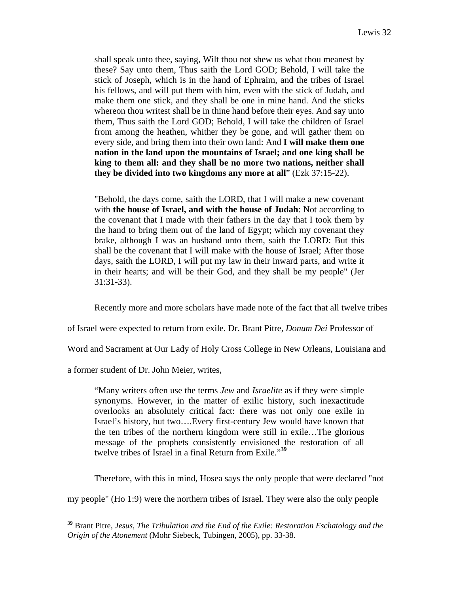shall speak unto thee, saying, Wilt thou not shew us what thou meanest by these? Say unto them, Thus saith the Lord GOD; Behold, I will take the stick of Joseph, which is in the hand of Ephraim, and the tribes of Israel his fellows, and will put them with him, even with the stick of Judah, and make them one stick, and they shall be one in mine hand. And the sticks whereon thou writest shall be in thine hand before their eyes. And say unto them, Thus saith the Lord GOD; Behold, I will take the children of Israel from among the heathen, whither they be gone, and will gather them on every side, and bring them into their own land: And **I will make them one nation in the land upon the mountains of Israel; and one king shall be king to them all: and they shall be no more two nations, neither shall they be divided into two kingdoms any more at all**" (Ezk 37:15-22).

"Behold, the days come, saith the LORD, that I will make a new covenant with **the house of Israel, and with the house of Judah**: Not according to the covenant that I made with their fathers in the day that I took them by the hand to bring them out of the land of Egypt; which my covenant they brake, although I was an husband unto them, saith the LORD: But this shall be the covenant that I will make with the house of Israel; After those days, saith the LORD, I will put my law in their inward parts, and write it in their hearts; and will be their God, and they shall be my people" (Jer 31:31-33).

Recently more and more scholars have made note of the fact that all twelve tribes

of Israel were expected to return from exile. Dr. Brant Pitre, *Donum Dei* Professor of

Word and Sacrament at Our Lady of Holy Cross College in New Orleans, Louisiana and

a former student of Dr. John Meier, writes,

 $\overline{a}$ 

"Many writers often use the terms *Jew* and *Israelite* as if they were simple synonyms. However, in the matter of exilic history, such inexactitude overlooks an absolutely critical fact: there was not only one exile in Israel's history, but two….Every first-century Jew would have known that the ten tribes of the northern kingdom were still in exile…The glorious message of the prophets consistently envisioned the restoration of all twelve tribes of Israel in a final Return from Exile."**<sup>39</sup>**

Therefore, with this in mind, Hosea says the only people that were declared "not

my people" (Ho 1:9) were the northern tribes of Israel. They were also the only people

**<sup>39</sup>** Brant Pitre, *Jesus, The Tribulation and the End of the Exile: Restoration Eschatology and the Origin of the Atonement* (Mohr Siebeck, Tubingen, 2005), pp. 33-38.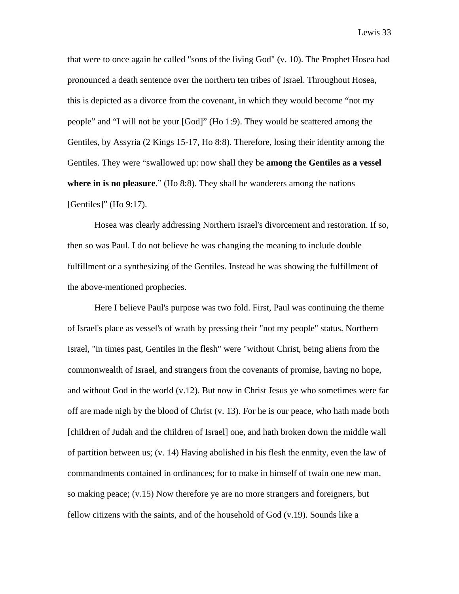that were to once again be called "sons of the living God" (v. 10). The Prophet Hosea had pronounced a death sentence over the northern ten tribes of Israel. Throughout Hosea, this is depicted as a divorce from the covenant, in which they would become "not my people" and "I will not be your [God]" (Ho 1:9). They would be scattered among the Gentiles, by Assyria (2 Kings 15-17, Ho 8:8). Therefore, losing their identity among the Gentiles. They were "swallowed up: now shall they be **among the Gentiles as a vessel where in is no pleasure**." (Ho 8:8). They shall be wanderers among the nations [Gentiles]" (Ho 9:17).

Hosea was clearly addressing Northern Israel's divorcement and restoration. If so, then so was Paul. I do not believe he was changing the meaning to include double fulfillment or a synthesizing of the Gentiles. Instead he was showing the fulfillment of the above-mentioned prophecies.

Here I believe Paul's purpose was two fold. First, Paul was continuing the theme of Israel's place as vessel's of wrath by pressing their "not my people" status. Northern Israel, "in times past, Gentiles in the flesh" were "without Christ, being aliens from the commonwealth of Israel, and strangers from the covenants of promise, having no hope, and without God in the world (v.12). But now in Christ Jesus ye who sometimes were far off are made nigh by the blood of Christ (v. 13). For he is our peace, who hath made both [children of Judah and the children of Israel] one, and hath broken down the middle wall of partition between us; (v. 14) Having abolished in his flesh the enmity, even the law of commandments contained in ordinances; for to make in himself of twain one new man, so making peace;  $(v.15)$  Now therefore ye are no more strangers and foreigners, but fellow citizens with the saints, and of the household of God (v.19). Sounds like a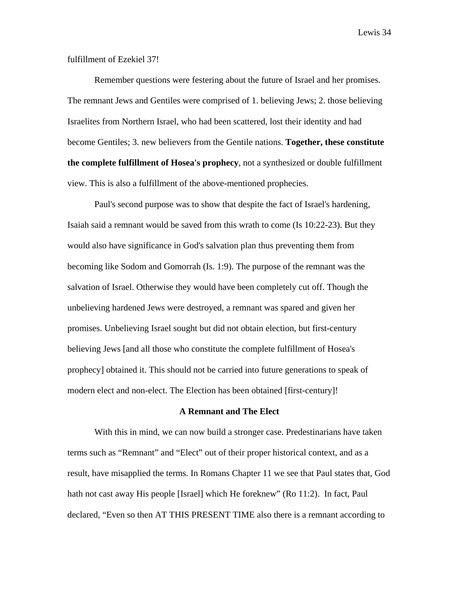### fulfillment of Ezekiel 37!

Remember questions were festering about the future of Israel and her promises. The remnant Jews and Gentiles were comprised of 1. believing Jews; 2. those believing Israelites from Northern Israel, who had been scattered, lost their identity and had become Gentiles; 3. new believers from the Gentile nations. **Together, these constitute the complete fulfillment of Hosea's prophecy**, not a synthesized or double fulfillment view. This is also a fulfillment of the above-mentioned prophecies.

Paul's second purpose was to show that despite the fact of Israel's hardening, Isaiah said a remnant would be saved from this wrath to come (Is 10:22-23). But they would also have significance in God's salvation plan thus preventing them from becoming like Sodom and Gomorrah (Is. 1:9). The purpose of the remnant was the salvation of Israel. Otherwise they would have been completely cut off. Though the unbelieving hardened Jews were destroyed, a remnant was spared and given her promises. Unbelieving Israel sought but did not obtain election, but first-century believing Jews [and all those who constitute the complete fulfillment of Hosea's prophecy] obtained it. This should not be carried into future generations to speak of modern elect and non-elect. The Election has been obtained [first-century]!

### **A Remnant and The Elect**

With this in mind, we can now build a stronger case. Predestinarians have taken terms such as "Remnant" and "Elect" out of their proper historical context, and as a result, have misapplied the terms. In Romans Chapter 11 we see that Paul states that, God hath not cast away His people [Israel] which He foreknew" (Ro 11:2). In fact, Paul declared, "Even so then AT THIS PRESENT TIME also there is a remnant according to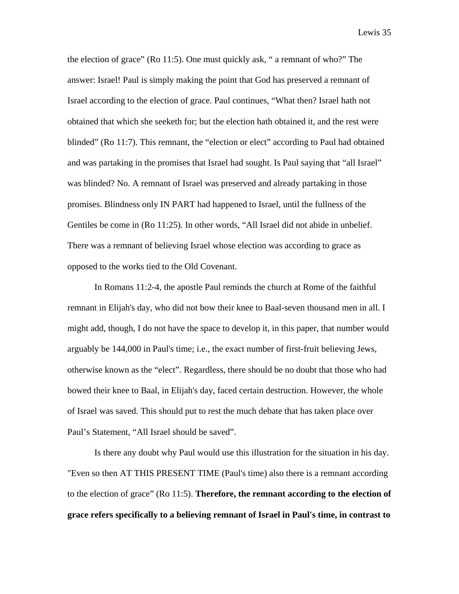the election of grace" (Ro 11:5). One must quickly ask, " a remnant of who?" The answer: Israel! Paul is simply making the point that God has preserved a remnant of Israel according to the election of grace. Paul continues, "What then? Israel hath not obtained that which she seeketh for; but the election hath obtained it, and the rest were blinded" (Ro 11:7). This remnant, the "election or elect" according to Paul had obtained and was partaking in the promises that Israel had sought. Is Paul saying that "all Israel" was blinded? No. A remnant of Israel was preserved and already partaking in those promises. Blindness only IN PART had happened to Israel, until the fullness of the Gentiles be come in (Ro 11:25). In other words, "All Israel did not abide in unbelief. There was a remnant of believing Israel whose election was according to grace as opposed to the works tied to the Old Covenant.

In Romans 11:2-4, the apostle Paul reminds the church at Rome of the faithful remnant in Elijah's day, who did not bow their knee to Baal-seven thousand men in all. I might add, though, I do not have the space to develop it, in this paper, that number would arguably be 144,000 in Paul's time; i.e., the exact number of first-fruit believing Jews, otherwise known as the "elect". Regardless, there should be no doubt that those who had bowed their knee to Baal, in Elijah's day, faced certain destruction. However, the whole of Israel was saved. This should put to rest the much debate that has taken place over Paul's Statement, "All Israel should be saved".

Is there any doubt why Paul would use this illustration for the situation in his day. "Even so then AT THIS PRESENT TIME (Paul's time) also there is a remnant according to the election of grace" (Ro 11:5). **Therefore, the remnant according to the election of grace refers specifically to a believing remnant of Israel in Paul's time, in contrast to**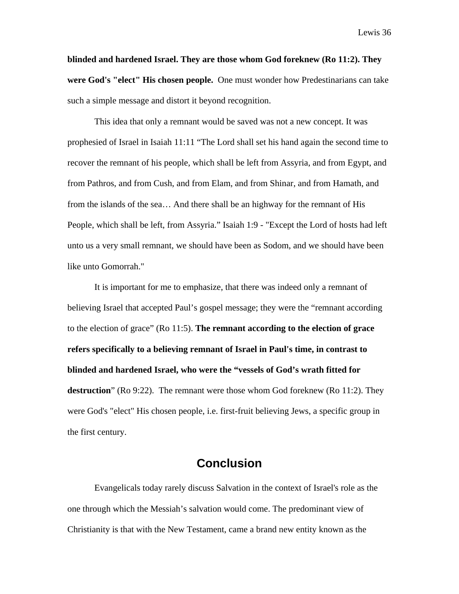**blinded and hardened Israel. They are those whom God foreknew (Ro 11:2). They were God's "elect" His chosen people.** One must wonder how Predestinarians can take such a simple message and distort it beyond recognition.

This idea that only a remnant would be saved was not a new concept. It was prophesied of Israel in Isaiah 11:11 "The Lord shall set his hand again the second time to recover the remnant of his people, which shall be left from Assyria, and from Egypt, and from Pathros, and from Cush, and from Elam, and from Shinar, and from Hamath, and from the islands of the sea… And there shall be an highway for the remnant of His People, which shall be left, from Assyria." Isaiah 1:9 - "Except the Lord of hosts had left unto us a very small remnant, we should have been as Sodom, and we should have been like unto Gomorrah."

It is important for me to emphasize, that there was indeed only a remnant of believing Israel that accepted Paul's gospel message; they were the "remnant according to the election of grace" (Ro 11:5). **The remnant according to the election of grace refers specifically to a believing remnant of Israel in Paul's time, in contrast to blinded and hardened Israel, who were the "vessels of God's wrath fitted for destruction**" (Ro 9:22). The remnant were those whom God foreknew (Ro 11:2). They were God's "elect" His chosen people, i.e. first-fruit believing Jews, a specific group in the first century.

## **Conclusion**

Evangelicals today rarely discuss Salvation in the context of Israel's role as the one through which the Messiah's salvation would come. The predominant view of Christianity is that with the New Testament, came a brand new entity known as the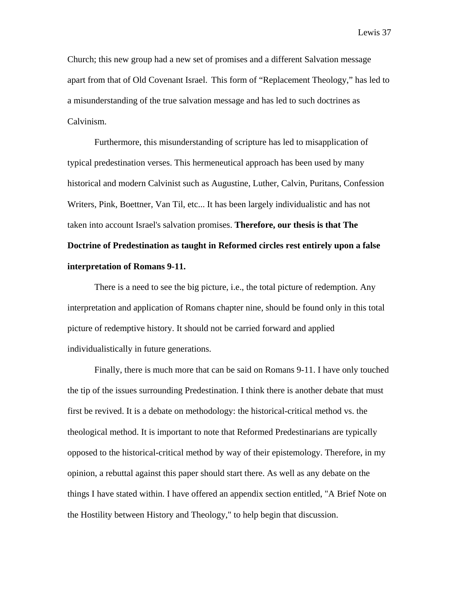Church; this new group had a new set of promises and a different Salvation message apart from that of Old Covenant Israel. This form of "Replacement Theology," has led to a misunderstanding of the true salvation message and has led to such doctrines as Calvinism.

Furthermore, this misunderstanding of scripture has led to misapplication of typical predestination verses. This hermeneutical approach has been used by many historical and modern Calvinist such as Augustine, Luther, Calvin, Puritans, Confession Writers, Pink, Boettner, Van Til, etc... It has been largely individualistic and has not taken into account Israel's salvation promises. **Therefore, our thesis is that The Doctrine of Predestination as taught in Reformed circles rest entirely upon a false interpretation of Romans 9-11.** 

There is a need to see the big picture, i.e., the total picture of redemption. Any interpretation and application of Romans chapter nine, should be found only in this total picture of redemptive history. It should not be carried forward and applied individualistically in future generations.

Finally, there is much more that can be said on Romans 9-11. I have only touched the tip of the issues surrounding Predestination. I think there is another debate that must first be revived. It is a debate on methodology: the historical-critical method vs. the theological method. It is important to note that Reformed Predestinarians are typically opposed to the historical-critical method by way of their epistemology. Therefore, in my opinion, a rebuttal against this paper should start there. As well as any debate on the things I have stated within. I have offered an appendix section entitled, "A Brief Note on the Hostility between History and Theology," to help begin that discussion.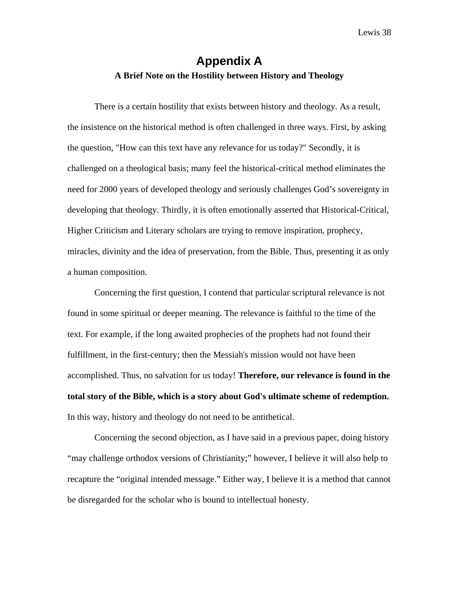### **Appendix A A Brief Note on the Hostility between History and Theology**

There is a certain hostility that exists between history and theology. As a result, the insistence on the historical method is often challenged in three ways. First, by asking the question, "How can this text have any relevance for us today?" Secondly, it is challenged on a theological basis; many feel the historical-critical method eliminates the need for 2000 years of developed theology and seriously challenges God's sovereignty in developing that theology. Thirdly, it is often emotionally asserted that Historical-Critical, Higher Criticism and Literary scholars are trying to remove inspiration, prophecy, miracles, divinity and the idea of preservation, from the Bible. Thus, presenting it as only a human composition.

Concerning the first question, I contend that particular scriptural relevance is not found in some spiritual or deeper meaning. The relevance is faithful to the time of the text. For example, if the long awaited prophecies of the prophets had not found their fulfillment, in the first-century; then the Messiah's mission would not have been accomplished. Thus, no salvation for us today! **Therefore, our relevance is found in the total story of the Bible, which is a story about God's ultimate scheme of redemption.** In this way, history and theology do not need to be antithetical.

Concerning the second objection, as I have said in a previous paper, doing history "may challenge orthodox versions of Christianity;" however, I believe it will also help to recapture the "original intended message." Either way, I believe it is a method that cannot be disregarded for the scholar who is bound to intellectual honesty.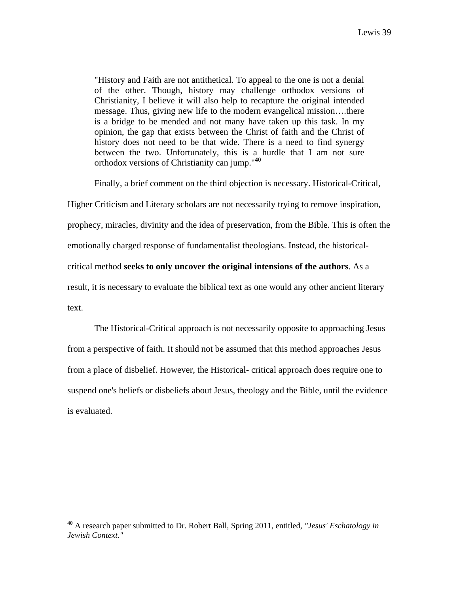"History and Faith are not antithetical. To appeal to the one is not a denial of the other. Though, history may challenge orthodox versions of Christianity, I believe it will also help to recapture the original intended message. Thus, giving new life to the modern evangelical mission….there is a bridge to be mended and not many have taken up this task. In my opinion, the gap that exists between the Christ of faith and the Christ of history does not need to be that wide. There is a need to find synergy between the two. Unfortunately, this is a hurdle that I am not sure orthodox versions of Christianity can jump."**<sup>40</sup>**

Finally, a brief comment on the third objection is necessary. Historical-Critical,

Higher Criticism and Literary scholars are not necessarily trying to remove inspiration,

prophecy, miracles, divinity and the idea of preservation, from the Bible. This is often the

emotionally charged response of fundamentalist theologians. Instead, the historical-

critical method **seeks to only uncover the original intensions of the authors**. As a

result, it is necessary to evaluate the biblical text as one would any other ancient literary

text.

 $\overline{a}$ 

The Historical-Critical approach is not necessarily opposite to approaching Jesus from a perspective of faith. It should not be assumed that this method approaches Jesus from a place of disbelief. However, the Historical- critical approach does require one to suspend one's beliefs or disbeliefs about Jesus, theology and the Bible, until the evidence is evaluated.

**<sup>40</sup>** A research paper submitted to Dr. Robert Ball, Spring 2011, entitled*, "Jesus' Eschatology in Jewish Context."*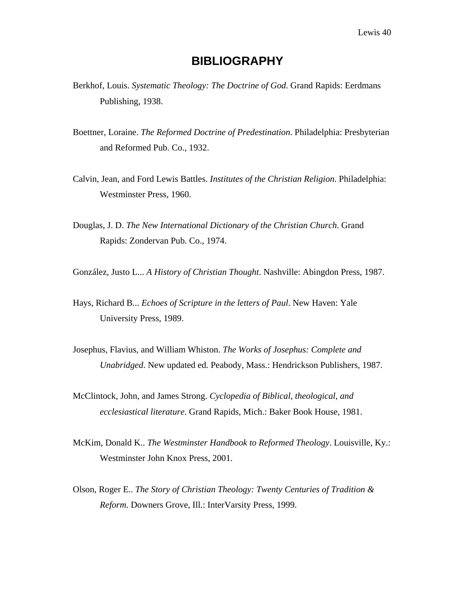# **BIBLIOGRAPHY**

- Berkhof, Louis. *Systematic Theology: The Doctrine of God*. Grand Rapids: Eerdmans Publishing, 1938.
- Boettner, Loraine. *The Reformed Doctrine of Predestination*. Philadelphia: Presbyterian and Reformed Pub. Co., 1932.
- Calvin, Jean, and Ford Lewis Battles. *Institutes of the Christian Religion*. Philadelphia: Westminster Press, 1960.
- Douglas, J. D. *The New International Dictionary of the Christian Church*. Grand Rapids: Zondervan Pub. Co., 1974.

González, Justo L... *A History of Christian Thought*. Nashville: Abingdon Press, 1987.

- Hays, Richard B... *Echoes of Scripture in the letters of Paul*. New Haven: Yale University Press, 1989.
- Josephus, Flavius, and William Whiston. *The Works of Josephus: Complete and Unabridged*. New updated ed. Peabody, Mass.: Hendrickson Publishers, 1987.
- McClintock, John, and James Strong. *Cyclopedia of Biblical, theological, and ecclesiastical literature*. Grand Rapids, Mich.: Baker Book House, 1981.
- McKim, Donald K.. *The Westminster Handbook to Reformed Theology*. Louisville, Ky.: Westminster John Knox Press, 2001.
- Olson, Roger E.. *The Story of Christian Theology: Twenty Centuries of Tradition & Reform*. Downers Grove, Ill.: InterVarsity Press, 1999.